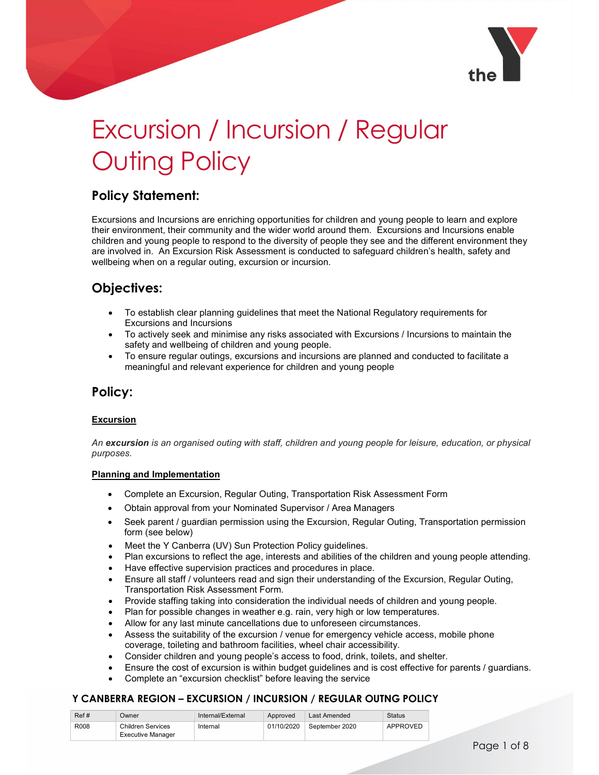

# Excursion / Incursion / Regular Outing Policy

## Policy Statement:

Excursions and Incursions are enriching opportunities for children and young people to learn and explore their environment, their community and the wider world around them. Excursions and Incursions enable children and young people to respond to the diversity of people they see and the different environment they are involved in. An Excursion Risk Assessment is conducted to safeguard children's health, safety and wellbeing when on a regular outing, excursion or incursion.

# Objectives:

- To establish clear planning guidelines that meet the National Regulatory requirements for Excursions and Incursions
- To actively seek and minimise any risks associated with Excursions / Incursions to maintain the safety and wellbeing of children and young people.
- To ensure regular outings, excursions and incursions are planned and conducted to facilitate a meaningful and relevant experience for children and young people

## Policy:

#### **Excursion**

An excursion is an organised outing with staff, children and young people for leisure, education, or physical purposes.

#### Planning and Implementation

- Complete an Excursion, Regular Outing, Transportation Risk Assessment Form
- Obtain approval from your Nominated Supervisor / Area Managers
- Seek parent / guardian permission using the Excursion, Regular Outing, Transportation permission form (see below)
- Meet the Y Canberra (UV) Sun Protection Policy guidelines.
- Plan excursions to reflect the age, interests and abilities of the children and young people attending.
- Have effective supervision practices and procedures in place.
- Ensure all staff / volunteers read and sign their understanding of the Excursion, Regular Outing, Transportation Risk Assessment Form.
- Provide staffing taking into consideration the individual needs of children and young people.
- Plan for possible changes in weather e.g. rain, very high or low temperatures.
- Allow for any last minute cancellations due to unforeseen circumstances.
- Assess the suitability of the excursion / venue for emergency vehicle access, mobile phone coverage, toileting and bathroom facilities, wheel chair accessibility.
- Consider children and young people's access to food, drink, toilets, and shelter.
- Ensure the cost of excursion is within budget guidelines and is cost effective for parents / guardians.
- Complete an "excursion checklist" before leaving the service

| Ref# | <b>Dwner</b>                                         | Internal/External | Approved   | Last Amended   | Status          |
|------|------------------------------------------------------|-------------------|------------|----------------|-----------------|
| R008 | <b>Children Services</b><br><b>Executive Manager</b> | Internal          | 01/10/2020 | September 2020 | <b>APPROVED</b> |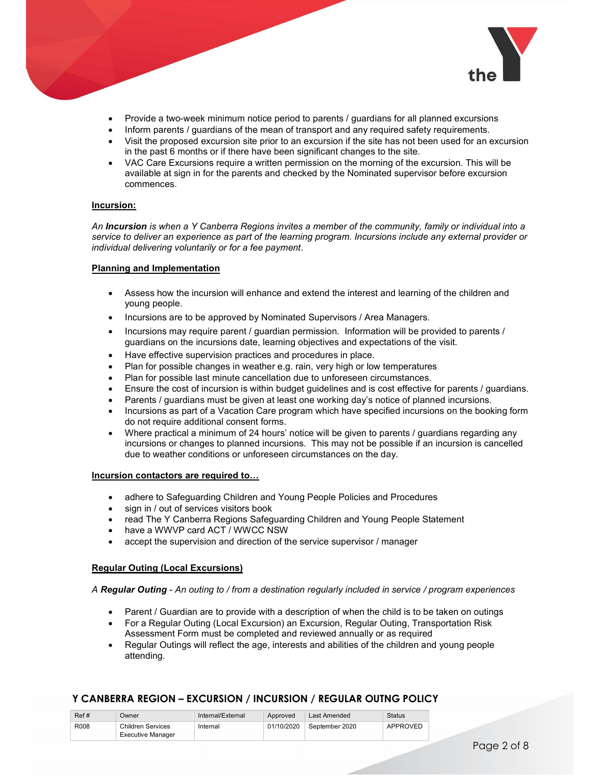

- Provide a two-week minimum notice period to parents / guardians for all planned excursions
- Inform parents / guardians of the mean of transport and any required safety requirements.
- Visit the proposed excursion site prior to an excursion if the site has not been used for an excursion in the past 6 months or if there have been significant changes to the site.
- VAC Care Excursions require a written permission on the morning of the excursion. This will be available at sign in for the parents and checked by the Nominated supervisor before excursion commences.

#### Incursion:

An Incursion is when a Y Canberra Regions invites a member of the community, family or individual into a service to deliver an experience as part of the learning program. Incursions include any external provider or individual delivering voluntarily or for a fee payment.

#### Planning and Implementation

- Assess how the incursion will enhance and extend the interest and learning of the children and young people.
- Incursions are to be approved by Nominated Supervisors / Area Managers.
- Incursions may require parent / guardian permission. Information will be provided to parents / guardians on the incursions date, learning objectives and expectations of the visit.
- Have effective supervision practices and procedures in place.
- Plan for possible changes in weather e.g. rain, very high or low temperatures
- Plan for possible last minute cancellation due to unforeseen circumstances.
- Ensure the cost of incursion is within budget guidelines and is cost effective for parents / guardians.
- Parents / guardians must be given at least one working day's notice of planned incursions.
- Incursions as part of a Vacation Care program which have specified incursions on the booking form do not require additional consent forms.
- Where practical a minimum of 24 hours' notice will be given to parents / guardians regarding any incursions or changes to planned incursions. This may not be possible if an incursion is cancelled due to weather conditions or unforeseen circumstances on the day.

#### Incursion contactors are required to…

- adhere to Safeguarding Children and Young People Policies and Procedures
- sign in / out of services visitors book
- read The Y Canberra Regions Safeguarding Children and Young People Statement
- have a WWVP card ACT / WWCC NSW
- accept the supervision and direction of the service supervisor / manager

#### Regular Outing (Local Excursions)

#### A Regular Outing - An outing to / from a destination regularly included in service / program experiences

- Parent / Guardian are to provide with a description of when the child is to be taken on outings
- For a Regular Outing (Local Excursion) an Excursion, Regular Outing, Transportation Risk Assessment Form must be completed and reviewed annually or as required
- Regular Outings will reflect the age, interests and abilities of the children and young people attending.

| Ref# | Jwner                    | Internal/External | Approved   | Last Amended   | <b>Status</b> |
|------|--------------------------|-------------------|------------|----------------|---------------|
| R008 | <b>Children Services</b> | Internal          | 01/10/2020 | September 2020 | APPROVED      |
|      | <b>Executive Manager</b> |                   |            |                |               |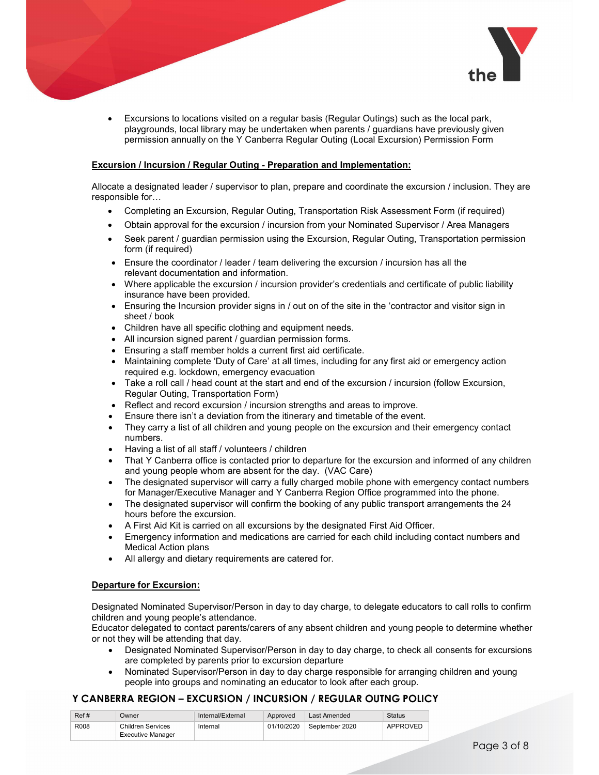

 Excursions to locations visited on a regular basis (Regular Outings) such as the local park, playgrounds, local library may be undertaken when parents / guardians have previously given permission annually on the Y Canberra Regular Outing (Local Excursion) Permission Form

#### Excursion / Incursion / Regular Outing - Preparation and Implementation:

Allocate a designated leader / supervisor to plan, prepare and coordinate the excursion / inclusion. They are responsible for…

- Completing an Excursion, Regular Outing, Transportation Risk Assessment Form (if required)
- Obtain approval for the excursion / incursion from your Nominated Supervisor / Area Managers
- Seek parent / guardian permission using the Excursion, Regular Outing, Transportation permission form (if required)
- Ensure the coordinator / leader / team delivering the excursion / incursion has all the relevant documentation and information.
- Where applicable the excursion / incursion provider's credentials and certificate of public liability insurance have been provided.
- Ensuring the Incursion provider signs in / out on of the site in the 'contractor and visitor sign in sheet / book
- Children have all specific clothing and equipment needs.
- All incursion signed parent / guardian permission forms.
- Ensuring a staff member holds a current first aid certificate.
- Maintaining complete 'Duty of Care' at all times, including for any first aid or emergency action required e.g. lockdown, emergency evacuation
- Take a roll call / head count at the start and end of the excursion / incursion (follow Excursion, Regular Outing, Transportation Form)
- Reflect and record excursion / incursion strengths and areas to improve.
- Ensure there isn't a deviation from the itinerary and timetable of the event.
- They carry a list of all children and young people on the excursion and their emergency contact numbers.
- Having a list of all staff / volunteers / children
- That Y Canberra office is contacted prior to departure for the excursion and informed of any children and young people whom are absent for the day. (VAC Care)
- The designated supervisor will carry a fully charged mobile phone with emergency contact numbers for Manager/Executive Manager and Y Canberra Region Office programmed into the phone.
- The designated supervisor will confirm the booking of any public transport arrangements the 24 hours before the excursion.
- A First Aid Kit is carried on all excursions by the designated First Aid Officer.
- Emergency information and medications are carried for each child including contact numbers and Medical Action plans
- All allergy and dietary requirements are catered for.

#### Departure for Excursion:

Designated Nominated Supervisor/Person in day to day charge, to delegate educators to call rolls to confirm children and young people's attendance.

Educator delegated to contact parents/carers of any absent children and young people to determine whether or not they will be attending that day.

- Designated Nominated Supervisor/Person in day to day charge, to check all consents for excursions are completed by parents prior to excursion departure
- Nominated Supervisor/Person in day to day charge responsible for arranging children and young people into groups and nominating an educator to look after each group.

| Ref# | Jwner                                                | Internal/External | Approved   | Last Amended   | <b>Status</b> |
|------|------------------------------------------------------|-------------------|------------|----------------|---------------|
| R008 | <b>Children Services</b><br><b>Executive Manager</b> | Internal          | 01/10/2020 | September 2020 | APPROVED      |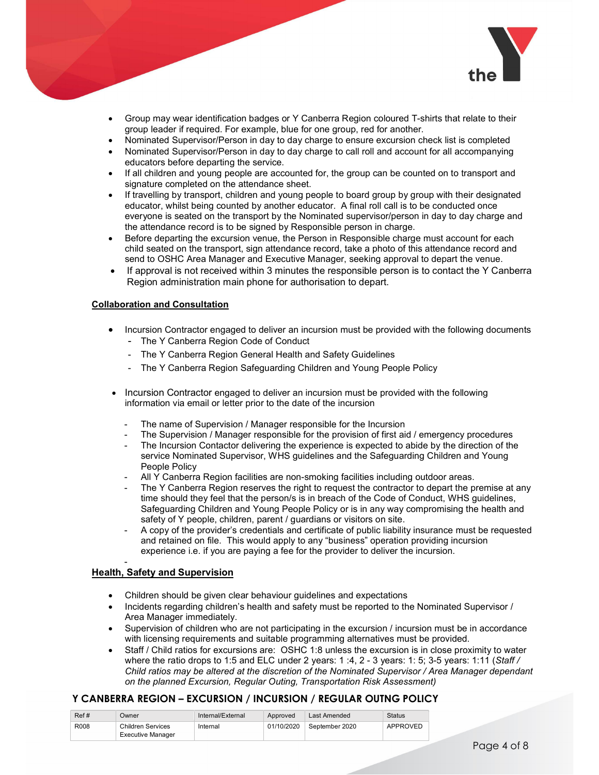

- Group may wear identification badges or Y Canberra Region coloured T-shirts that relate to their group leader if required. For example, blue for one group, red for another.
- Nominated Supervisor/Person in day to day charge to ensure excursion check list is completed
- Nominated Supervisor/Person in day to day charge to call roll and account for all accompanying educators before departing the service.
- If all children and young people are accounted for, the group can be counted on to transport and signature completed on the attendance sheet.
- If travelling by transport, children and young people to board group by group with their designated educator, whilst being counted by another educator. A final roll call is to be conducted once everyone is seated on the transport by the Nominated supervisor/person in day to day charge and the attendance record is to be signed by Responsible person in charge.
- Before departing the excursion venue, the Person in Responsible charge must account for each child seated on the transport, sign attendance record, take a photo of this attendance record and send to OSHC Area Manager and Executive Manager, seeking approval to depart the venue.
- If approval is not received within 3 minutes the responsible person is to contact the Y Canberra Region administration main phone for authorisation to depart.

#### Collaboration and Consultation

- Incursion Contractor engaged to deliver an incursion must be provided with the following documents - The Y Canberra Region Code of Conduct
	- The Y Canberra Region General Health and Safety Guidelines
	- The Y Canberra Region Safeguarding Children and Young People Policy
- Incursion Contractor engaged to deliver an incursion must be provided with the following information via email or letter prior to the date of the incursion
	- The name of Supervision / Manager responsible for the Incursion
	- The Supervision / Manager responsible for the provision of first aid / emergency procedures
	- The Incursion Contactor delivering the experience is expected to abide by the direction of the service Nominated Supervisor, WHS guidelines and the Safeguarding Children and Young People Policy
	- All Y Canberra Region facilities are non-smoking facilities including outdoor areas.
	- The Y Canberra Region reserves the right to request the contractor to depart the premise at any time should they feel that the person/s is in breach of the Code of Conduct, WHS guidelines, Safeguarding Children and Young People Policy or is in any way compromising the health and safety of Y people, children, parent / guardians or visitors on site.
	- A copy of the provider's credentials and certificate of public liability insurance must be requested and retained on file. This would apply to any "business" operation providing incursion experience i.e. if you are paying a fee for the provider to deliver the incursion.

#### Health, Safety and Supervision

- Children should be given clear behaviour guidelines and expectations
- Incidents regarding children's health and safety must be reported to the Nominated Supervisor / Area Manager immediately.
- Supervision of children who are not participating in the excursion / incursion must be in accordance with licensing requirements and suitable programming alternatives must be provided.
- Staff / Child ratios for excursions are: OSHC 1:8 unless the excursion is in close proximity to water where the ratio drops to 1:5 and ELC under 2 years: 1:4, 2 - 3 years: 1:5; 3-5 years: 1:11 (Staff / Child ratios may be altered at the discretion of the Nominated Supervisor / Area Manager dependant on the planned Excursion, Regular Outing, Transportation Risk Assessment)

| Ref# | Jwner                                                | Internal/External | Approved   | Last Amended   | <b>Status</b> |
|------|------------------------------------------------------|-------------------|------------|----------------|---------------|
| R008 | <b>Children Services</b><br><b>Executive Manager</b> | Internal          | 01/10/2020 | September 2020 | APPROVED      |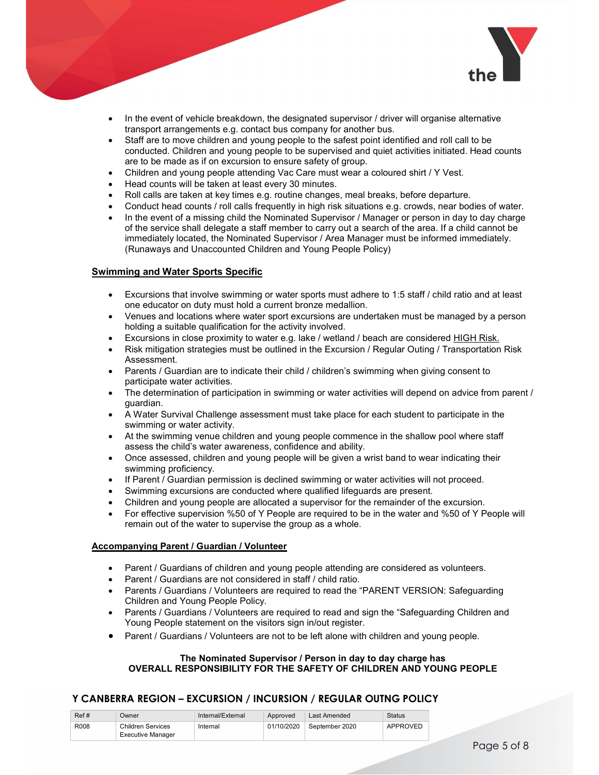

- In the event of vehicle breakdown, the designated supervisor / driver will organise alternative transport arrangements e.g. contact bus company for another bus.
- Staff are to move children and young people to the safest point identified and roll call to be conducted. Children and young people to be supervised and quiet activities initiated. Head counts are to be made as if on excursion to ensure safety of group.
- Children and young people attending Vac Care must wear a coloured shirt / Y Vest.
- Head counts will be taken at least every 30 minutes.
- Roll calls are taken at key times e.g. routine changes, meal breaks, before departure.
- Conduct head counts / roll calls frequently in high risk situations e.g. crowds, near bodies of water.
- In the event of a missing child the Nominated Supervisor / Manager or person in day to day charge of the service shall delegate a staff member to carry out a search of the area. If a child cannot be immediately located, the Nominated Supervisor / Area Manager must be informed immediately. (Runaways and Unaccounted Children and Young People Policy)

#### Swimming and Water Sports Specific

- Excursions that involve swimming or water sports must adhere to 1:5 staff / child ratio and at least one educator on duty must hold a current bronze medallion.
- Venues and locations where water sport excursions are undertaken must be managed by a person holding a suitable qualification for the activity involved.
- Excursions in close proximity to water e.g. lake / wetland / beach are considered HIGH Risk.
- Risk mitigation strategies must be outlined in the Excursion / Regular Outing / Transportation Risk Assessment.
- Parents / Guardian are to indicate their child / children's swimming when giving consent to participate water activities.
- The determination of participation in swimming or water activities will depend on advice from parent / guardian.
- A Water Survival Challenge assessment must take place for each student to participate in the swimming or water activity.
- At the swimming venue children and young people commence in the shallow pool where staff assess the child's water awareness, confidence and ability.
- Once assessed, children and young people will be given a wrist band to wear indicating their swimming proficiency.
- If Parent / Guardian permission is declined swimming or water activities will not proceed.
- Swimming excursions are conducted where qualified lifeguards are present.
- Children and young people are allocated a supervisor for the remainder of the excursion.
- For effective supervision %50 of Y People are required to be in the water and %50 of Y People will remain out of the water to supervise the group as a whole.

#### Accompanying Parent / Guardian / Volunteer

- Parent / Guardians of children and young people attending are considered as volunteers.
- Parent / Guardians are not considered in staff / child ratio.
- Parents / Guardians / Volunteers are required to read the "PARENT VERSION: Safeguarding Children and Young People Policy.
- Parents / Guardians / Volunteers are required to read and sign the "Safeguarding Children and Young People statement on the visitors sign in/out register.
- Parent / Guardians / Volunteers are not to be left alone with children and young people.

#### The Nominated Supervisor / Person in day to day charge has OVERALL RESPONSIBILITY FOR THE SAFETY OF CHILDREN AND YOUNG PEOPLE

| Ref# | Owner                    | Internal/External | Approved   | Last Amended   | <b>Status</b> |
|------|--------------------------|-------------------|------------|----------------|---------------|
| R008 | Children Services        | Internal          | 01/10/2020 | September 2020 | APPROVED      |
|      | <b>Executive Manager</b> |                   |            |                |               |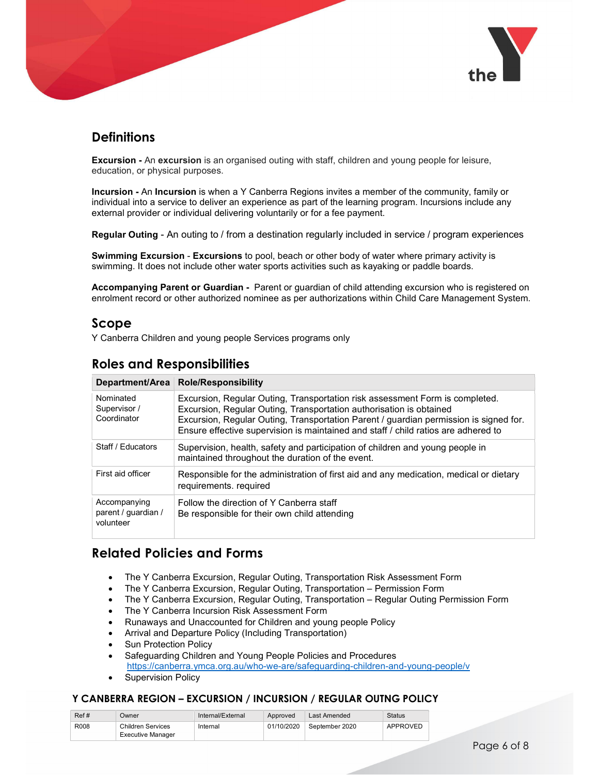

# **Definitions**

**Excursion -** An excursion is an organised outing with staff, children and young people for leisure, education, or physical purposes.

Incursion - An Incursion is when a Y Canberra Regions invites a member of the community, family or individual into a service to deliver an experience as part of the learning program. Incursions include any external provider or individual delivering voluntarily or for a fee payment.

Regular Outing - An outing to / from a destination regularly included in service / program experiences

**Swimming Excursion - Excursions** to pool, beach or other body of water where primary activity is swimming. It does not include other water sports activities such as kayaking or paddle boards.

Accompanying Parent or Guardian - Parent or guardian of child attending excursion who is registered on enrolment record or other authorized nominee as per authorizations within Child Care Management System.

## Scope

Y Canberra Children and young people Services programs only

## Roles and Responsibilities

| Department/Area                                  | <b>Role/Responsibility</b>                                                                                                                                                                                                                                                                                                         |
|--------------------------------------------------|------------------------------------------------------------------------------------------------------------------------------------------------------------------------------------------------------------------------------------------------------------------------------------------------------------------------------------|
| Nominated<br>Supervisor /<br>Coordinator         | Excursion, Regular Outing, Transportation risk assessment Form is completed.<br>Excursion, Regular Outing, Transportation authorisation is obtained<br>Excursion, Regular Outing, Transportation Parent / guardian permission is signed for.<br>Ensure effective supervision is maintained and staff / child ratios are adhered to |
| Staff / Educators                                | Supervision, health, safety and participation of children and young people in<br>maintained throughout the duration of the event.                                                                                                                                                                                                  |
| First aid officer                                | Responsible for the administration of first aid and any medication, medical or dietary<br>requirements, required                                                                                                                                                                                                                   |
| Accompanying<br>parent / guardian /<br>volunteer | Follow the direction of Y Canberra staff<br>Be responsible for their own child attending                                                                                                                                                                                                                                           |

## Related Policies and Forms

- The Y Canberra Excursion, Regular Outing, Transportation Risk Assessment Form
- The Y Canberra Excursion, Regular Outing, Transportation Permission Form
- The Y Canberra Excursion, Regular Outing, Transportation Regular Outing Permission Form
- The Y Canberra Incursion Risk Assessment Form
- Runaways and Unaccounted for Children and young people Policy
- Arrival and Departure Policy (Including Transportation)
- Sun Protection Policy
- Safeguarding Children and Young People Policies and Procedures https://canberra.ymca.org.au/who-we-are/safeguarding-children-and-young-people/v
- Supervision Policy

| Ref# | )wner                    | Internal/External | Approved   | Last Amended   | <b>Status</b>   |
|------|--------------------------|-------------------|------------|----------------|-----------------|
| R008 | Children Services        | Internal          | 01/10/2020 | September 2020 | <b>APPROVED</b> |
|      | <b>Executive Manager</b> |                   |            |                |                 |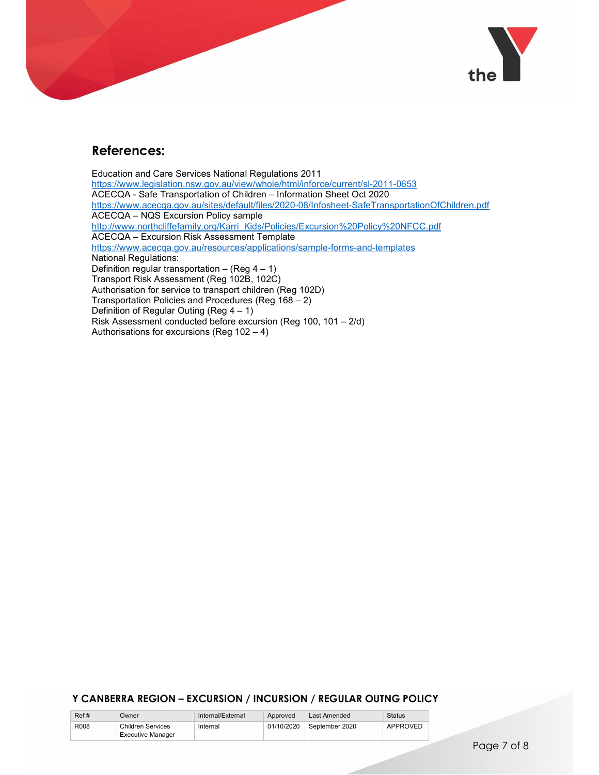

## References:

Education and Care Services National Regulations 2011<br>https://www.legislation.nsw.gov.au/view/whole/html/inforce/current/sl-2011-0653 ACECQA - Safe Transportation of Children – Information Sheet Oct 2020 https://www.acecqa.gov.au/sites/default/files/2020-08/Infosheet-SafeTransportationOfChildren.pdf ACECQA – NQS Excursion Policy sample http://www.northcliffefamily.org/Karri\_Kids/Policies/Excursion%20Policy%20NFCC.pdf ACECQA – Excursion Risk Assessment Template https://www.acecqa.gov.au/resources/applications/sample-forms-and-templates National Regulations: Definition regular transportation – (Reg  $4 - 1$ ) Transport Risk Assessment (Reg 102B, 102C) Authorisation for service to transport children (Reg 102D) Transportation Policies and Procedures (Reg 168 – 2) Definition of Regular Outing (Reg 4 – 1) Risk Assessment conducted before excursion (Reg 100, 101 – 2/d) Authorisations for excursions (Reg 102 – 4)

| Ref# | Dwner                                         | Internal/External | Approved   | Last Amended   | <b>Status</b>   |
|------|-----------------------------------------------|-------------------|------------|----------------|-----------------|
| R008 | Children Services<br><b>Executive Manager</b> | Internal          | 01/10/2020 | September 2020 | <b>APPROVED</b> |